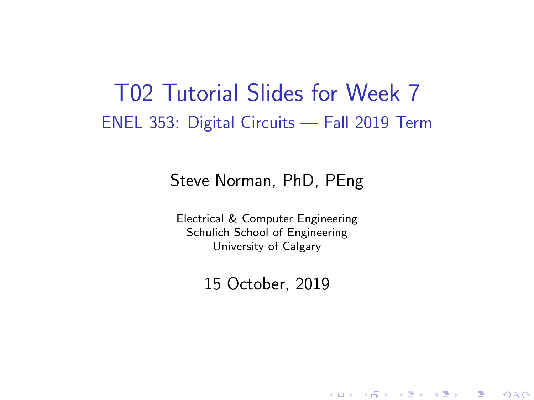#### T02 Tutorial Slides for Week 7 ENEL 353: Digital Circuits — Fall 2019 Term

#### Steve Norman, PhD, PEng

Electrical & Computer Engineering Schulich School of Engineering University of Calgary

15 October, 2019

《 ロ 》 《 御 》 《 君 》 《 君 》 《 君

 $\Omega$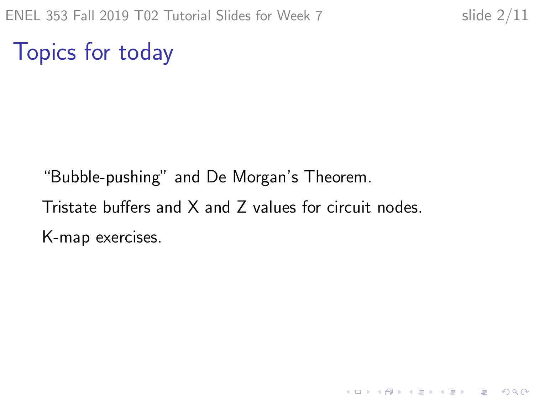K ロ ▶ K 個 ▶ K 할 ▶ K 할 ▶ 이 할 → 9 Q Q →

Topics for today

"Bubble-pushing" and De Morgan's Theorem. Tristate buffers and X and Z values for circuit nodes. K-map exercises.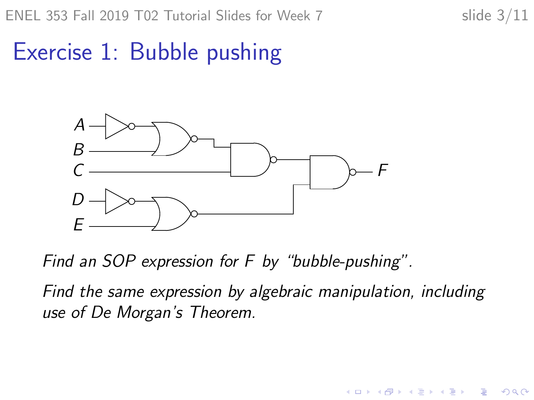イロト イ押ト イヨト イヨト

B

 $2Q$ 

# Exercise 1: Bubble pushing



Find an SOP expression for F by "bubble-pushing".

Find the same expression by algebraic manipulation, including use of De Morgan's Theorem.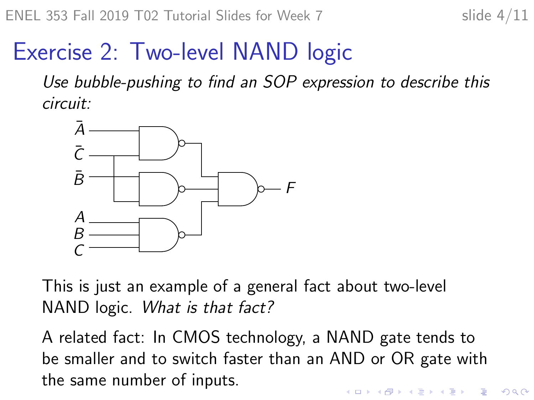## Exercise 2: Two-level NAND logic

Use bubble-pushing to find an SOP expression to describe this circuit:



This is just an example of a general fact about two-level NAND logic. What is that fact?

A related fact: In CMOS technology, a NAND gate tends to be smaller and to switch faster than an AND or OR gate with the same number of inputs.**KORKARYKERKER POLO**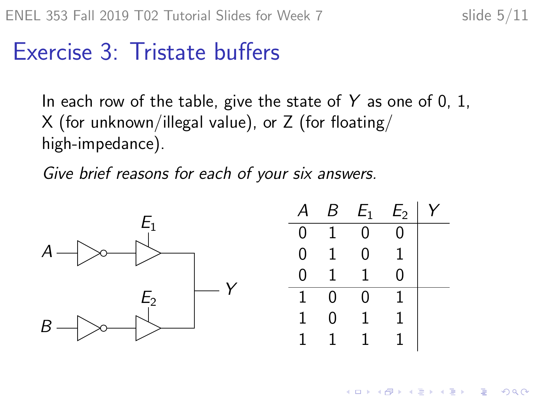$\left\{ \begin{array}{ccc} 1 & 0 & 0 \\ 0 & 1 & 0 \end{array} \right.$ 

Ξ

 $2Q$ 

## Exercise 3: Tristate buffers

In each row of the table, give the state of Y as one of 0, 1, X (for unknown/illegal value), or Z (for floating/ high-impedance).

Give brief reasons for each of your six answers.

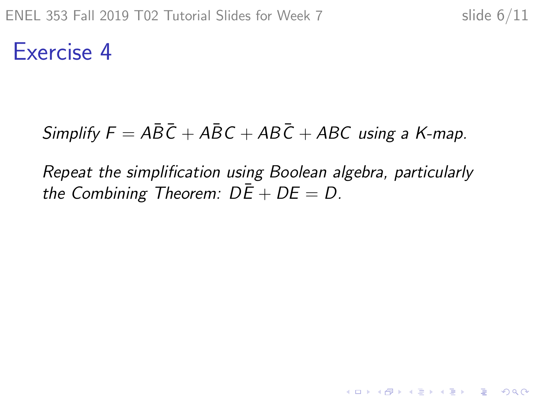Exercise 4

#### Simplify  $F = A\overline{B}\overline{C} + A\overline{B}C + AB\overline{C} + ABC$  using a K-map.

Repeat the simplification using Boolean algebra, particularly the Combining Theorem:  $D\overline{E} + DE = D$ .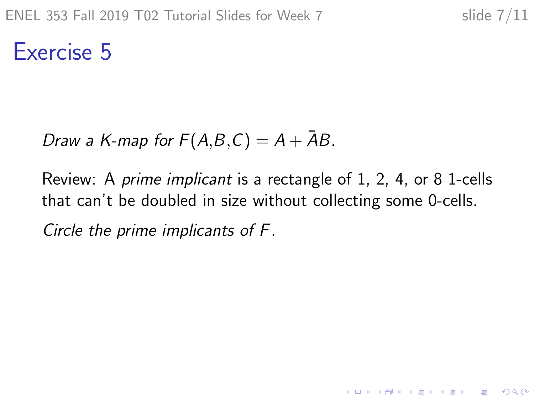**KORKARYKERKER POLO** 

Exercise 5

Draw a K-map for  $F(A,B,C) = A + \overline{A}B$ .

Review: A prime implicant is a rectangle of 1, 2, 4, or 8 1-cells that can't be doubled in size without collecting some 0-cells.

Circle the prime implicants of F.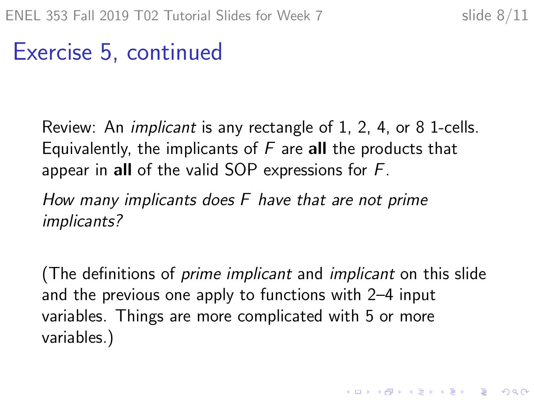KID KA KERKER KID KO

### Exercise 5, continued

Review: An implicant is any rectangle of 1, 2, 4, or 8 1-cells. Equivalently, the implicants of  $F$  are all the products that appear in all of the valid SOP expressions for F.

How many implicants does F have that are not prime implicants?

(The definitions of prime implicant and implicant on this slide and the previous one apply to functions with 2–4 input variables. Things are more complicated with 5 or more variables.)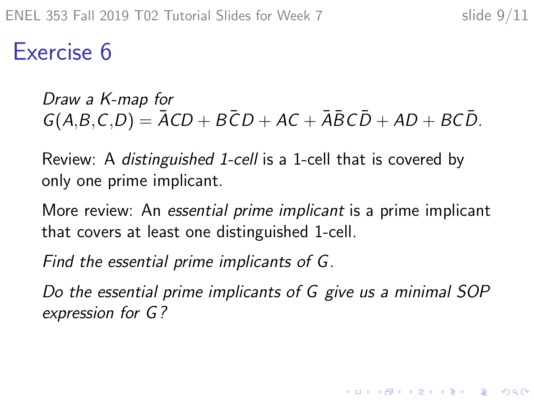Exercise 6

Draw a K-map for  $G(A,B,C,D) = \overline{A}CD + \overline{B}CD + \overline{A}C + \overline{A}\overline{B}C\overline{D} + \overline{A}D + \overline{B}C\overline{D}$ .

Review: A distinguished 1-cell is a 1-cell that is covered by only one prime implicant.

More review: An essential prime implicant is a prime implicant that covers at least one distinguished 1-cell.

Find the essential prime implicants of G.

Do the essential prime implicants of G give us a minimal SOP expression for G ?

**KORKARYKERKER POLO**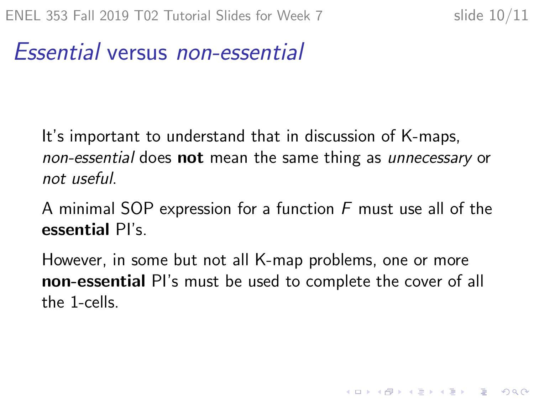### Essential versus non-essential

It's important to understand that in discussion of K-maps, non-essential does not mean the same thing as unnecessary or not useful.

A minimal SOP expression for a function F must use all of the essential PI's.

However, in some but not all K-map problems, one or more non-essential PI's must be used to complete the cover of all the 1-cells.